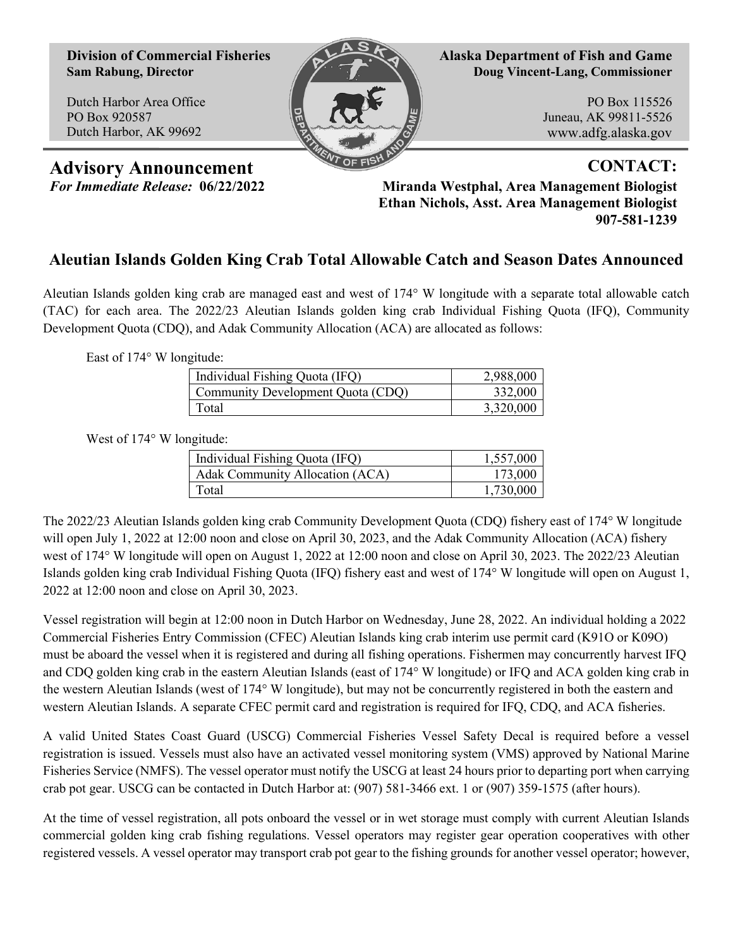**Division of Commercial Fisheries Sam Rabung, Director**

Dutch Harbor Area Office PO Box 920587 Dutch Harbor, AK 99692



**Alaska Department of Fish and Game Doug Vincent-Lang, Commissioner**

> PO Box 115526 Juneau, AK 99811-5526 www.adfg.alaska.gov

Advisory Announcement **CONTACT:** 

*For Immediate Release:* **06/22/2022 Miranda Westphal, Area Management Biologist Ethan Nichols, Asst. Area Management Biologist 907-581-1239**

## **Aleutian Islands Golden King Crab Total Allowable Catch and Season Dates Announced**

Aleutian Islands golden king crab are managed east and west of 174° W longitude with a separate total allowable catch (TAC) for each area. The 2022/23 Aleutian Islands golden king crab Individual Fishing Quota (IFQ), Community Development Quota (CDQ), and Adak Community Allocation (ACA) are allocated as follows:

East of 174° W longitude:

| Individual Fishing Quota (IFQ)    | 2,988,000 |
|-----------------------------------|-----------|
| Community Development Quota (CDQ) | 332,000   |
| Total                             | 3,320,000 |

West of 174° W longitude:

| Individual Fishing Quota (IFQ)  | 1,557,000 |
|---------------------------------|-----------|
| Adak Community Allocation (ACA) | 173,000   |
| Total                           | 1,730,000 |

The 2022/23 Aleutian Islands golden king crab Community Development Quota (CDQ) fishery east of 174° W longitude will open July 1, 2022 at 12:00 noon and close on April 30, 2023, and the Adak Community Allocation (ACA) fishery west of 174° W longitude will open on August 1, 2022 at 12:00 noon and close on April 30, 2023. The 2022/23 Aleutian Islands golden king crab Individual Fishing Quota (IFQ) fishery east and west of 174° W longitude will open on August 1, 2022 at 12:00 noon and close on April 30, 2023.

Vessel registration will begin at 12:00 noon in Dutch Harbor on Wednesday, June 28, 2022. An individual holding a 2022 Commercial Fisheries Entry Commission (CFEC) Aleutian Islands king crab interim use permit card (K91O or K09O) must be aboard the vessel when it is registered and during all fishing operations. Fishermen may concurrently harvest IFQ and CDQ golden king crab in the eastern Aleutian Islands (east of 174° W longitude) or IFQ and ACA golden king crab in the western Aleutian Islands (west of 174° W longitude), but may not be concurrently registered in both the eastern and western Aleutian Islands. A separate CFEC permit card and registration is required for IFQ, CDQ, and ACA fisheries.

A valid United States Coast Guard (USCG) Commercial Fisheries Vessel Safety Decal is required before a vessel registration is issued. Vessels must also have an activated vessel monitoring system (VMS) approved by National Marine Fisheries Service (NMFS). The vessel operator must notify the USCG at least 24 hours prior to departing port when carrying crab pot gear. USCG can be contacted in Dutch Harbor at: (907) 581-3466 ext. 1 or (907) 359-1575 (after hours).

At the time of vessel registration, all pots onboard the vessel or in wet storage must comply with current Aleutian Islands commercial golden king crab fishing regulations. Vessel operators may register gear operation cooperatives with other registered vessels. A vessel operator may transport crab pot gear to the fishing grounds for another vessel operator; however,